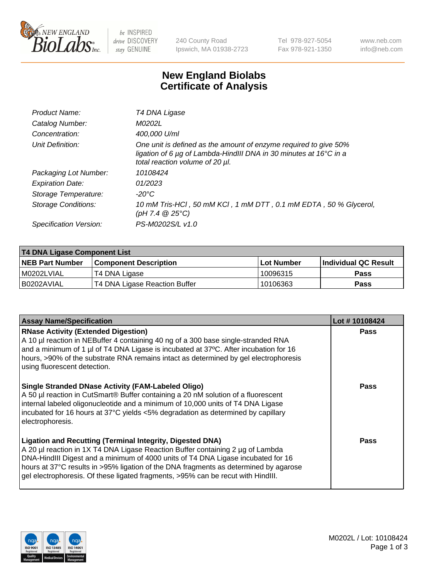

be INSPIRED drive DISCOVERY stay GENUINE

240 County Road Ipswich, MA 01938-2723 Tel 978-927-5054 Fax 978-921-1350 www.neb.com info@neb.com

## **New England Biolabs Certificate of Analysis**

| Product Name:              | T4 DNA Ligase                                                                                                                                                            |
|----------------------------|--------------------------------------------------------------------------------------------------------------------------------------------------------------------------|
| Catalog Number:            | M0202L                                                                                                                                                                   |
| Concentration:             | 400,000 U/ml                                                                                                                                                             |
| Unit Definition:           | One unit is defined as the amount of enzyme required to give 50%<br>ligation of 6 µg of Lambda-HindIII DNA in 30 minutes at 16°C in a<br>total reaction volume of 20 µl. |
| Packaging Lot Number:      | 10108424                                                                                                                                                                 |
| <b>Expiration Date:</b>    | 01/2023                                                                                                                                                                  |
| Storage Temperature:       | $-20^{\circ}$ C                                                                                                                                                          |
| <b>Storage Conditions:</b> | 10 mM Tris-HCl, 50 mM KCl, 1 mM DTT, 0.1 mM EDTA, 50 % Glycerol,<br>(pH 7.4 $@25°C$ )                                                                                    |
| Specification Version:     | PS-M0202S/L v1.0                                                                                                                                                         |

| T4 DNA Ligase Component List |                               |              |                             |  |
|------------------------------|-------------------------------|--------------|-----------------------------|--|
| <b>NEB Part Number</b>       | <b>Component Description</b>  | l Lot Number | <b>Individual QC Result</b> |  |
| M0202LVIAL                   | T4 DNA Ligase                 | 10096315     | <b>Pass</b>                 |  |
| I B0202AVIAL                 | T4 DNA Ligase Reaction Buffer | 10106363     | <b>Pass</b>                 |  |

| <b>Assay Name/Specification</b>                                                                                                                                                                                                                                                                                                                                                                                    | Lot #10108424 |
|--------------------------------------------------------------------------------------------------------------------------------------------------------------------------------------------------------------------------------------------------------------------------------------------------------------------------------------------------------------------------------------------------------------------|---------------|
| <b>RNase Activity (Extended Digestion)</b><br>A 10 µl reaction in NEBuffer 4 containing 40 ng of a 300 base single-stranded RNA<br>and a minimum of 1 µl of T4 DNA Ligase is incubated at 37°C. After incubation for 16<br>hours, >90% of the substrate RNA remains intact as determined by gel electrophoresis<br>using fluorescent detection.                                                                    | <b>Pass</b>   |
| <b>Single Stranded DNase Activity (FAM-Labeled Oligo)</b><br>A 50 µl reaction in CutSmart® Buffer containing a 20 nM solution of a fluorescent<br>internal labeled oligonucleotide and a minimum of 10,000 units of T4 DNA Ligase<br>incubated for 16 hours at 37°C yields <5% degradation as determined by capillary<br>electrophoresis.                                                                          | Pass          |
| <b>Ligation and Recutting (Terminal Integrity, Digested DNA)</b><br>A 20 µl reaction in 1X T4 DNA Ligase Reaction Buffer containing 2 µg of Lambda<br>DNA-HindIII Digest and a minimum of 4000 units of T4 DNA Ligase incubated for 16<br>hours at 37°C results in >95% ligation of the DNA fragments as determined by agarose<br>gel electrophoresis. Of these ligated fragments, >95% can be recut with HindIII. | Pass          |

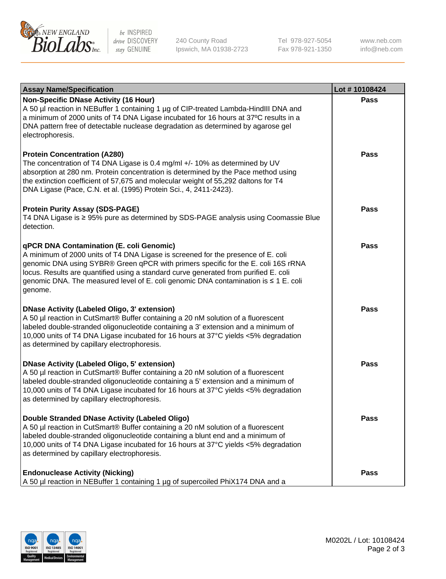

be INSPIRED drive DISCOVERY stay GENUINE

240 County Road Ipswich, MA 01938-2723 Tel 978-927-5054 Fax 978-921-1350

www.neb.com info@neb.com

| <b>Assay Name/Specification</b>                                                                                                                                                                                                                                                                                                                                                                             | Lot #10108424 |
|-------------------------------------------------------------------------------------------------------------------------------------------------------------------------------------------------------------------------------------------------------------------------------------------------------------------------------------------------------------------------------------------------------------|---------------|
| <b>Non-Specific DNase Activity (16 Hour)</b><br>A 50 µl reaction in NEBuffer 1 containing 1 µg of CIP-treated Lambda-HindIII DNA and<br>a minimum of 2000 units of T4 DNA Ligase incubated for 16 hours at 37°C results in a<br>DNA pattern free of detectable nuclease degradation as determined by agarose gel<br>electrophoresis.                                                                        | <b>Pass</b>   |
| <b>Protein Concentration (A280)</b><br>The concentration of T4 DNA Ligase is 0.4 mg/ml $+/-$ 10% as determined by UV<br>absorption at 280 nm. Protein concentration is determined by the Pace method using<br>the extinction coefficient of 57,675 and molecular weight of 55,292 daltons for T4<br>DNA Ligase (Pace, C.N. et al. (1995) Protein Sci., 4, 2411-2423).                                       | Pass          |
| <b>Protein Purity Assay (SDS-PAGE)</b><br>T4 DNA Ligase is ≥ 95% pure as determined by SDS-PAGE analysis using Coomassie Blue<br>detection.                                                                                                                                                                                                                                                                 | Pass          |
| qPCR DNA Contamination (E. coli Genomic)<br>A minimum of 2000 units of T4 DNA Ligase is screened for the presence of E. coli<br>genomic DNA using SYBR® Green qPCR with primers specific for the E. coli 16S rRNA<br>locus. Results are quantified using a standard curve generated from purified E. coli<br>genomic DNA. The measured level of E. coli genomic DNA contamination is ≤ 1 E. coli<br>genome. | Pass          |
| <b>DNase Activity (Labeled Oligo, 3' extension)</b><br>A 50 µl reaction in CutSmart® Buffer containing a 20 nM solution of a fluorescent<br>labeled double-stranded oligonucleotide containing a 3' extension and a minimum of<br>10,000 units of T4 DNA Ligase incubated for 16 hours at 37°C yields <5% degradation<br>as determined by capillary electrophoresis.                                        | <b>Pass</b>   |
| <b>DNase Activity (Labeled Oligo, 5' extension)</b><br>A 50 µl reaction in CutSmart® Buffer containing a 20 nM solution of a fluorescent<br>labeled double-stranded oligonucleotide containing a 5' extension and a minimum of<br>10,000 units of T4 DNA Ligase incubated for 16 hours at 37°C yields <5% degradation<br>as determined by capillary electrophoresis.                                        | <b>Pass</b>   |
| Double Stranded DNase Activity (Labeled Oligo)<br>A 50 µl reaction in CutSmart® Buffer containing a 20 nM solution of a fluorescent<br>labeled double-stranded oligonucleotide containing a blunt end and a minimum of<br>10,000 units of T4 DNA Ligase incubated for 16 hours at 37°C yields <5% degradation<br>as determined by capillary electrophoresis.                                                | Pass          |
| <b>Endonuclease Activity (Nicking)</b><br>A 50 µl reaction in NEBuffer 1 containing 1 µg of supercoiled PhiX174 DNA and a                                                                                                                                                                                                                                                                                   | Pass          |